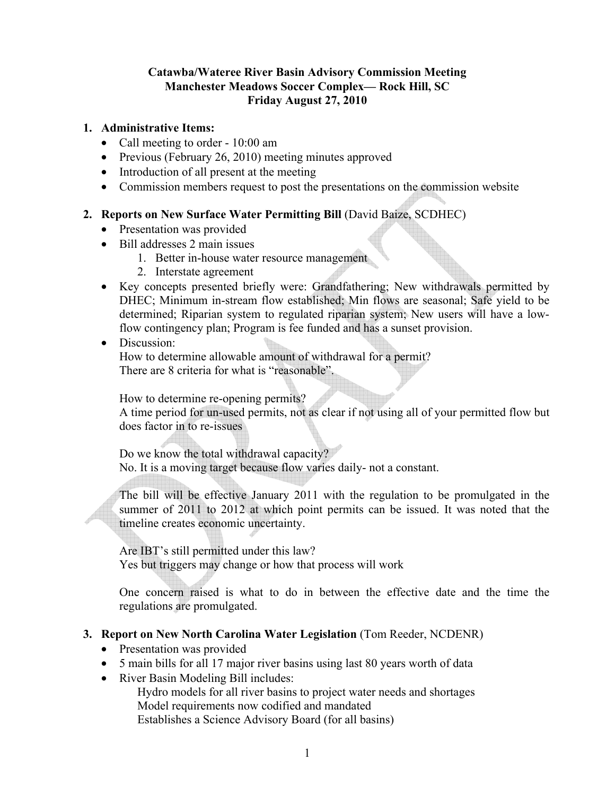### **Catawba/Wateree River Basin Advisory Commission Meeting Manchester Meadows Soccer Complex— Rock Hill, SC Friday August 27, 2010**

#### **1. Administrative Items:**

- Call meeting to order 10:00 am
- Previous (February 26, 2010) meeting minutes approved
- Introduction of all present at the meeting
- Commission members request to post the presentations on the commission website

### **2. Reports on New Surface Water Permitting Bill** (David Baize, SCDHEC)

- Presentation was provided
- Bill addresses 2 main issues
	- 1. Better in-house water resource management
	- 2. Interstate agreement
- Key concepts presented briefly were: Grandfathering; New withdrawals permitted by DHEC; Minimum in-stream flow established; Min flows are seasonal; Safe yield to be determined; Riparian system to regulated riparian system; New users will have a lowflow contingency plan; Program is fee funded and has a sunset provision.

### • Discussion:

How to determine allowable amount of withdrawal for a permit? There are 8 criteria for what is "reasonable".

How to determine re-opening permits?

A time period for un-used permits, not as clear if not using all of your permitted flow but does factor in to re-issues

Do we know the total withdrawal capacity?

No. It is a moving target because flow varies daily- not a constant.

j The bill will be effective January 2011 with the regulation to be promulgated in the summer of 2011 to 2012 at which point permits can be issued. It was noted that the timeline creates economic uncertainty.

Are IBT's still permitted under this law? Yes but triggers may change or how that process will work

One concern raised is what to do in between the effective date and the time the regulations are promulgated.

### **3. Report on New North Carolina Water Legislation** (Tom Reeder, NCDENR)

- Presentation was provided
- 5 main bills for all 17 major river basins using last 80 years worth of data
- River Basin Modeling Bill includes:

 Hydro models for all river basins to project water needs and shortages Model requirements now codified and mandated Establishes a Science Advisory Board (for all basins)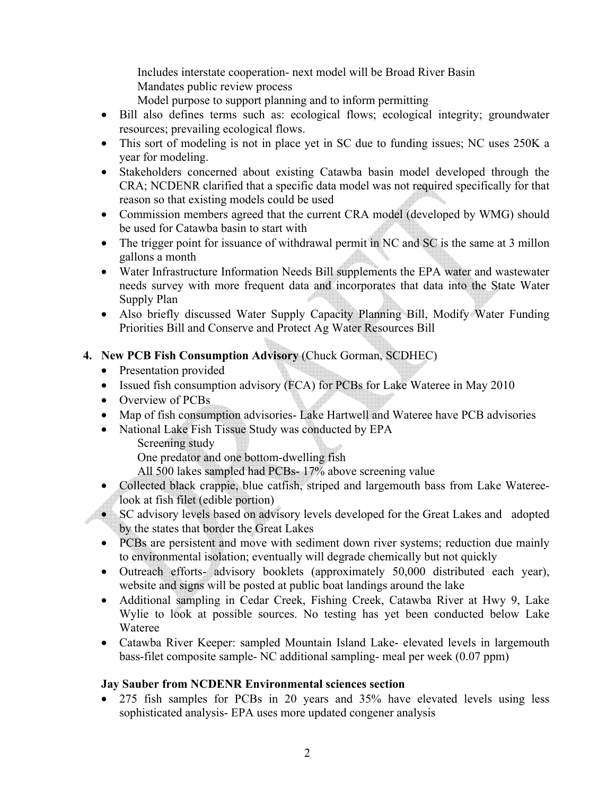Includes interstate cooperation- next model will be Broad River Basin Mandates public review process

Model purpose to support planning and to inform permitting

- Bill also defines terms such as: ecological flows; ecological integrity; groundwater resources; prevailing ecological flows.
- This sort of modeling is not in place yet in SC due to funding issues; NC uses 250K a year for modeling.
- Stakeholders concerned about existing Catawba basin model developed through the CRA; NCDENR clarified that a specific data model was not required specifically for that reason so that existing models could be used
- Commission members agreed that the current CRA model (developed by WMG) should be used for Catawba basin to start with
- The trigger point for issuance of withdrawal permit in NC and SC is the same at 3 millon gallons a month
- Water Infrastructure Information Needs Bill supplements the EPA water and wastewater needs survey with more frequent data and incorporates that data into the State Water Supply Plan
- Also briefly discussed Water Supply Capacity Planning Bill, Modify Water Funding Priorities Bill and Conserve and Protect Ag Water Resources Bill
- **4. New PCB Fish Consumption Advisory** (Chuck Gorman, SCDHEC)
	- Presentation provided
	- Issued fish consumption advisory (FCA) for PCBs for Lake Wateree in May 2010
	- Overview of PCBs
	- Map of fish consumption advisories- Lake Hartwell and Wateree have PCB advisories
	- National Lake Fish Tissue Study was conducted by EPA
		- Screening study

One predator and one bottom-dwelling fish

All 500 lakes sampled had PCBs- 17% above screening value

- Collected black crappie, blue catfish, striped and largemouth bass from Lake Watereelook at fish filet (edible portion)
- SC advisory levels based on advisory levels developed for the Great Lakes and adopted by the states that border the Great Lakes
- PCBs are persistent and move with sediment down river systems; reduction due mainly to environmental isolation; eventually will degrade chemically but not quickly
- Outreach efforts- advisory booklets (approximately 50,000 distributed each year), website and signs will be posted at public boat landings around the lake
- Additional sampling in Cedar Creek, Fishing Creek, Catawba River at Hwy 9, Lake Wylie to look at possible sources. No testing has yet been conducted below Lake Wateree
- Catawba River Keeper: sampled Mountain Island Lake- elevated levels in largemouth bass-filet composite sample- NC additional sampling- meal per week (0.07 ppm)

# **Jay Sauber from NCDENR Environmental sciences section**

• 275 fish samples for PCBs in 20 years and 35% have elevated levels using less sophisticated analysis- EPA uses more updated congener analysis